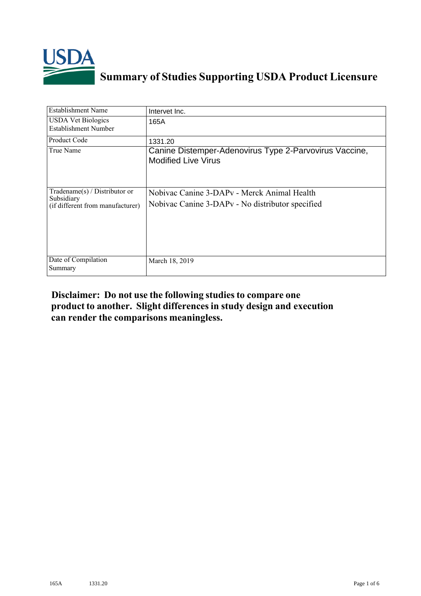

## **Summary of Studies Supporting USDA Product Licensure**

| <b>Establishment Name</b>                                                          | Intervet Inc.                                                                                               |
|------------------------------------------------------------------------------------|-------------------------------------------------------------------------------------------------------------|
| <b>USDA Vet Biologics</b><br>Establishment Number                                  | 165A                                                                                                        |
| Product Code                                                                       | 1331.20                                                                                                     |
| True Name                                                                          | Canine Distemper-Adenovirus Type 2-Parvovirus Vaccine,<br><b>Modified Live Virus</b>                        |
| Tradename $(s)$ / Distributor or<br>Subsidiary<br>(if different from manufacturer) | Nobivac Canine 3-DAPy - Merck Animal Health<br>Nobivac Canine 3-DAP <sub>v</sub> - No distributor specified |
| Date of Compilation<br>Summary                                                     | March 18, 2019                                                                                              |

## **Disclaimer: Do not use the following studiesto compare one product to another. Slight differencesin study design and execution can render the comparisons meaningless.**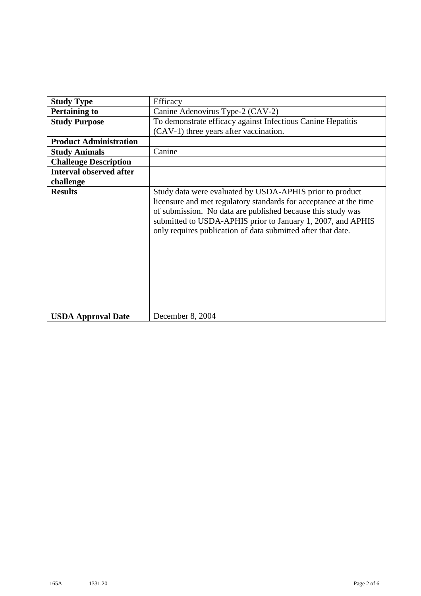| <b>Study Type</b>              | Efficacy                                                                                                                                                                                                                                                                                                                    |
|--------------------------------|-----------------------------------------------------------------------------------------------------------------------------------------------------------------------------------------------------------------------------------------------------------------------------------------------------------------------------|
| <b>Pertaining to</b>           | Canine Adenovirus Type-2 (CAV-2)                                                                                                                                                                                                                                                                                            |
| <b>Study Purpose</b>           | To demonstrate efficacy against Infectious Canine Hepatitis                                                                                                                                                                                                                                                                 |
|                                | (CAV-1) three years after vaccination.                                                                                                                                                                                                                                                                                      |
| <b>Product Administration</b>  |                                                                                                                                                                                                                                                                                                                             |
| <b>Study Animals</b>           | Canine                                                                                                                                                                                                                                                                                                                      |
| <b>Challenge Description</b>   |                                                                                                                                                                                                                                                                                                                             |
| <b>Interval observed after</b> |                                                                                                                                                                                                                                                                                                                             |
| challenge                      |                                                                                                                                                                                                                                                                                                                             |
| <b>Results</b>                 | Study data were evaluated by USDA-APHIS prior to product<br>licensure and met regulatory standards for acceptance at the time<br>of submission. No data are published because this study was<br>submitted to USDA-APHIS prior to January 1, 2007, and APHIS<br>only requires publication of data submitted after that date. |
| <b>USDA Approval Date</b>      | December 8, 2004                                                                                                                                                                                                                                                                                                            |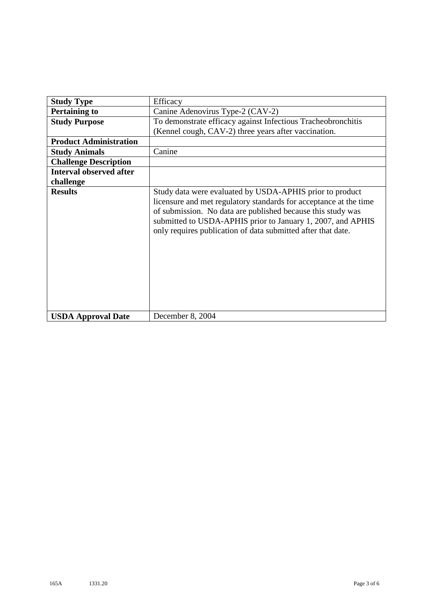| <b>Study Type</b>              | Efficacy                                                                                                                                                                                                                                                                                                                    |
|--------------------------------|-----------------------------------------------------------------------------------------------------------------------------------------------------------------------------------------------------------------------------------------------------------------------------------------------------------------------------|
| <b>Pertaining to</b>           | Canine Adenovirus Type-2 (CAV-2)                                                                                                                                                                                                                                                                                            |
| <b>Study Purpose</b>           | To demonstrate efficacy against Infectious Tracheobronchitis                                                                                                                                                                                                                                                                |
|                                | (Kennel cough, CAV-2) three years after vaccination.                                                                                                                                                                                                                                                                        |
| <b>Product Administration</b>  |                                                                                                                                                                                                                                                                                                                             |
| <b>Study Animals</b>           | Canine                                                                                                                                                                                                                                                                                                                      |
| <b>Challenge Description</b>   |                                                                                                                                                                                                                                                                                                                             |
| <b>Interval observed after</b> |                                                                                                                                                                                                                                                                                                                             |
| challenge                      |                                                                                                                                                                                                                                                                                                                             |
| <b>Results</b>                 | Study data were evaluated by USDA-APHIS prior to product<br>licensure and met regulatory standards for acceptance at the time<br>of submission. No data are published because this study was<br>submitted to USDA-APHIS prior to January 1, 2007, and APHIS<br>only requires publication of data submitted after that date. |
| <b>USDA Approval Date</b>      | December 8, 2004                                                                                                                                                                                                                                                                                                            |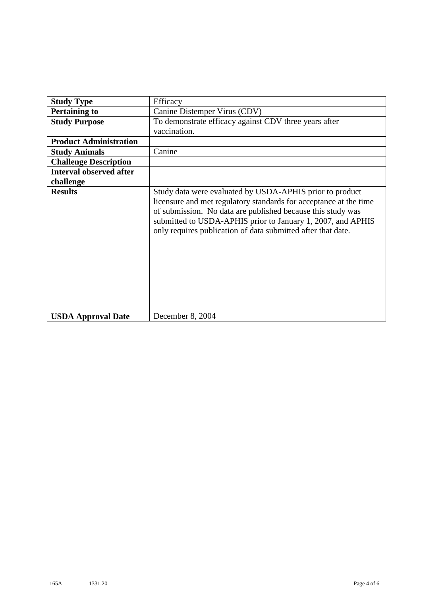| <b>Study Type</b>              | Efficacy                                                                                                                                                                                                                                                                                                                    |
|--------------------------------|-----------------------------------------------------------------------------------------------------------------------------------------------------------------------------------------------------------------------------------------------------------------------------------------------------------------------------|
| <b>Pertaining to</b>           | Canine Distemper Virus (CDV)                                                                                                                                                                                                                                                                                                |
| <b>Study Purpose</b>           | To demonstrate efficacy against CDV three years after<br>vaccination.                                                                                                                                                                                                                                                       |
| <b>Product Administration</b>  |                                                                                                                                                                                                                                                                                                                             |
| <b>Study Animals</b>           | Canine                                                                                                                                                                                                                                                                                                                      |
| <b>Challenge Description</b>   |                                                                                                                                                                                                                                                                                                                             |
| <b>Interval observed after</b> |                                                                                                                                                                                                                                                                                                                             |
| challenge                      |                                                                                                                                                                                                                                                                                                                             |
| <b>Results</b>                 | Study data were evaluated by USDA-APHIS prior to product<br>licensure and met regulatory standards for acceptance at the time<br>of submission. No data are published because this study was<br>submitted to USDA-APHIS prior to January 1, 2007, and APHIS<br>only requires publication of data submitted after that date. |
| <b>USDA Approval Date</b>      | December 8, 2004                                                                                                                                                                                                                                                                                                            |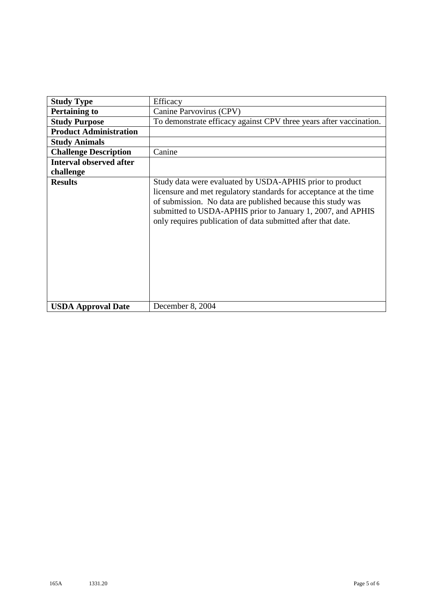|                                | Efficacy                                                                                                                                                                                                                                                                                                                    |
|--------------------------------|-----------------------------------------------------------------------------------------------------------------------------------------------------------------------------------------------------------------------------------------------------------------------------------------------------------------------------|
| <b>Study Type</b>              |                                                                                                                                                                                                                                                                                                                             |
| <b>Pertaining to</b>           | Canine Parvovirus (CPV)                                                                                                                                                                                                                                                                                                     |
| <b>Study Purpose</b>           | To demonstrate efficacy against CPV three years after vaccination.                                                                                                                                                                                                                                                          |
| <b>Product Administration</b>  |                                                                                                                                                                                                                                                                                                                             |
| <b>Study Animals</b>           |                                                                                                                                                                                                                                                                                                                             |
| <b>Challenge Description</b>   | Canine                                                                                                                                                                                                                                                                                                                      |
| <b>Interval observed after</b> |                                                                                                                                                                                                                                                                                                                             |
| challenge                      |                                                                                                                                                                                                                                                                                                                             |
| <b>Results</b>                 | Study data were evaluated by USDA-APHIS prior to product<br>licensure and met regulatory standards for acceptance at the time<br>of submission. No data are published because this study was<br>submitted to USDA-APHIS prior to January 1, 2007, and APHIS<br>only requires publication of data submitted after that date. |
| <b>USDA Approval Date</b>      | December 8, 2004                                                                                                                                                                                                                                                                                                            |